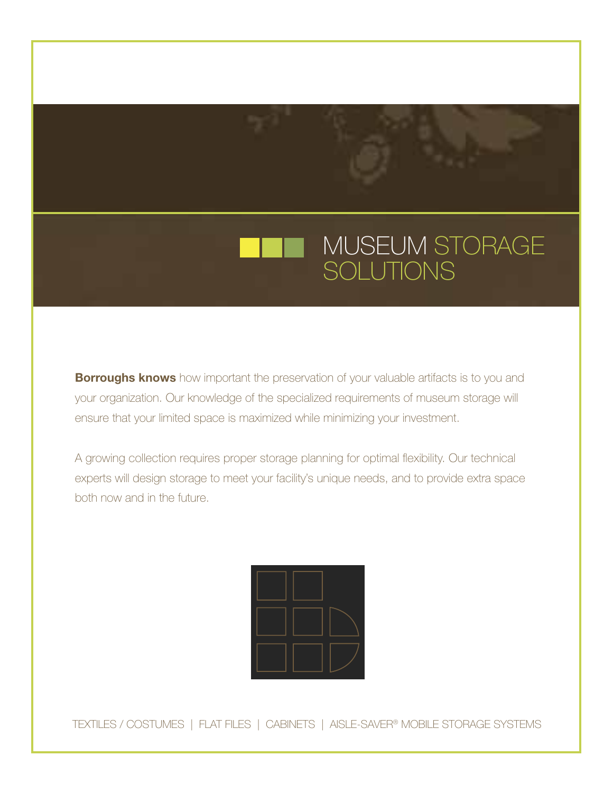

**Borroughs knows** how important the preservation of your valuable artifacts is to you and your organization. Our knowledge of the specialized requirements of museum storage will ensure that your limited space is maximized while minimizing your investment.

A growing collection requires proper storage planning for optimal flexibility. Our technical experts will design storage to meet your facility's unique needs, and to provide extra space both now and in the future.

TEXTILES / COSTUMES | FLAT FILES | CABINETS | AISLE-SAVER® MOBILE STORAGE SYSTEMS